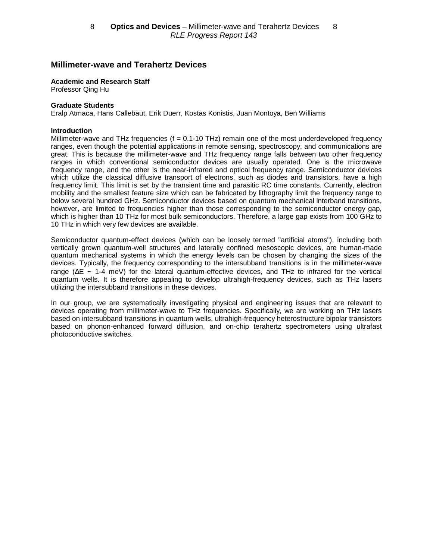# **Millimeter-wave and Terahertz Devices**

#### **Academic and Research Staff**

Professor Qing Hu

#### **Graduate Students**

Eralp Atmaca, Hans Callebaut, Erik Duerr, Kostas Konistis, Juan Montoya, Ben Williams

#### **Introduction**

Millimeter-wave and THz frequencies ( $f = 0.1 - 10$  THz) remain one of the most underdeveloped frequency ranges, even though the potential applications in remote sensing, spectroscopy, and communications are great. This is because the millimeter-wave and THz frequency range falls between two other frequency ranges in which conventional semiconductor devices are usually operated. One is the microwave frequency range, and the other is the near-infrared and optical frequency range. Semiconductor devices which utilize the classical diffusive transport of electrons, such as diodes and transistors, have a high frequency limit. This limit is set by the transient time and parasitic RC time constants. Currently, electron mobility and the smallest feature size which can be fabricated by lithography limit the frequency range to below several hundred GHz. Semiconductor devices based on quantum mechanical interband transitions, however, are limited to frequencies higher than those corresponding to the semiconductor energy gap, which is higher than 10 THz for most bulk semiconductors. Therefore, a large gap exists from 100 GHz to 10 THz in which very few devices are available.

Semiconductor quantum-effect devices (which can be loosely termed "artificial atoms"), including both vertically grown quantum-well structures and laterally confined mesoscopic devices, are human-made quantum mechanical systems in which the energy levels can be chosen by changing the sizes of the devices. Typically, the frequency corresponding to the intersubband transitions is in the millimeter-wave range (∆E ~ 1-4 meV) for the lateral quantum-effective devices, and THz to infrared for the vertical quantum wells. It is therefore appealing to develop ultrahigh-frequency devices, such as THz lasers utilizing the intersubband transitions in these devices.

In our group, we are systematically investigating physical and engineering issues that are relevant to devices operating from millimeter-wave to THz frequencies. Specifically, we are working on THz lasers based on intersubband transitions in quantum wells, ultrahigh-frequency heterostructure bipolar transistors based on phonon-enhanced forward diffusion, and on-chip terahertz spectrometers using ultrafast photoconductive switches.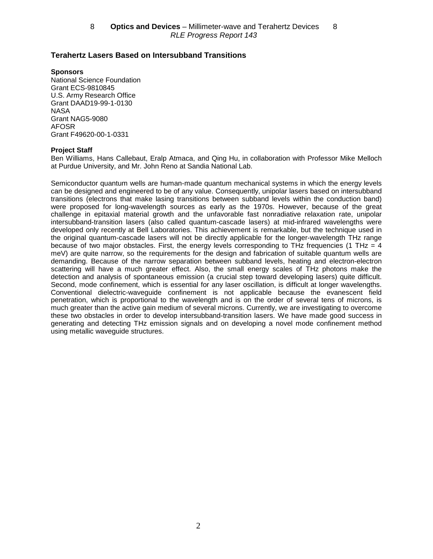## **Terahertz Lasers Based on Intersubband Transitions**

**Sponsors**

National Science Foundation Grant ECS-9810845 U.S. Army Research Office Grant DAAD19-99-1-0130 NASA Grant NAG5-9080 AFOSR Grant F49620-00-1-0331

### **Project Staff**

Ben Williams, Hans Callebaut, Eralp Atmaca, and Qing Hu, in collaboration with Professor Mike Melloch at Purdue University, and Mr. John Reno at Sandia National Lab.

Semiconductor quantum wells are human-made quantum mechanical systems in which the energy levels can be designed and engineered to be of any value. Consequently, unipolar lasers based on intersubband transitions (electrons that make lasing transitions between subband levels within the conduction band) were proposed for long-wavelength sources as early as the 1970s. However, because of the great challenge in epitaxial material growth and the unfavorable fast nonradiative relaxation rate, unipolar intersubband-transition lasers (also called quantum-cascade lasers) at mid-infrared wavelengths were developed only recently at Bell Laboratories. This achievement is remarkable, but the technique used in the original quantum-cascade lasers will not be directly applicable for the longer-wavelength THz range because of two major obstacles. First, the energy levels corresponding to THz frequencies (1 THz  $=$  4 meV) are quite narrow, so the requirements for the design and fabrication of suitable quantum wells are demanding. Because of the narrow separation between subband levels, heating and electron-electron scattering will have a much greater effect. Also, the small energy scales of THz photons make the detection and analysis of spontaneous emission (a crucial step toward developing lasers) quite difficult. Second, mode confinement, which is essential for any laser oscillation, is difficult at longer wavelengths. Conventional dielectric-waveguide confinement is not applicable because the evanescent field penetration, which is proportional to the wavelength and is on the order of several tens of microns, is much greater than the active gain medium of several microns. Currently, we are investigating to overcome these two obstacles in order to develop intersubband-transition lasers. We have made good success in generating and detecting THz emission signals and on developing a novel mode confinement method using metallic waveguide structures.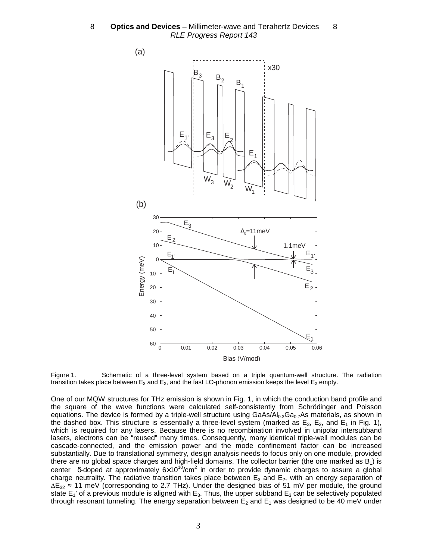8 **- Optics and Devices** – Millimeter-wave and Terahertz Devices - 8 RLE Progress Report 143



Figure 1. Schematic of a three-level system based on a triple quantum-well structure. The radiation transition takes place between  $E_3$  and  $E_2$ , and the fast LO-phonon emission keeps the level  $E_2$  empty.

One of our MQW structures for THz emission is shown in Fig. 1, in which the conduction band profile and the square of the wave functions were calculated self-consistently from Schrödinger and Poisson equations. The device is formed by a triple-well structure using  $GaAs/Al<sub>0.3</sub>Ga<sub>0.7</sub>As$  materials, as shown in the dashed box. This structure is essentially a three-level system (marked as  $E_3$ ,  $E_2$ , and  $E_1$  in Fig. 1), which is required for any lasers. Because there is no recombination involved in unipolar intersubband lasers, electrons can be "reused" many times. Consequently, many identical triple-well modules can be cascade-connected, and the emission power and the mode confinement factor can be increased substantially. Due to translational symmetry, design analysis needs to focus only on one module, provided there are no global space charges and high-field domains. The collector barrier (the one marked as  $B_1$ ) is center  $\delta$ -doped at approximately  $6\times10^{10}$ /cm<sup>2</sup> in order to provide dynamic charges to assure a global charge neutrality. The radiative transition takes place between  $E_3$  and  $E_2$ , with an energy separation of ∆E<sub>32</sub> ≈ 11 meV (corresponding to 2.7 THz). Under the designed bias of 51 mV per module, the ground state  $E_1'$  of a previous module is aligned with  $E_3$ . Thus, the upper subband  $E_3$  can be selectively populated through resonant tunneling. The energy separation between  $E_2$  and  $E_1$  was designed to be 40 meV under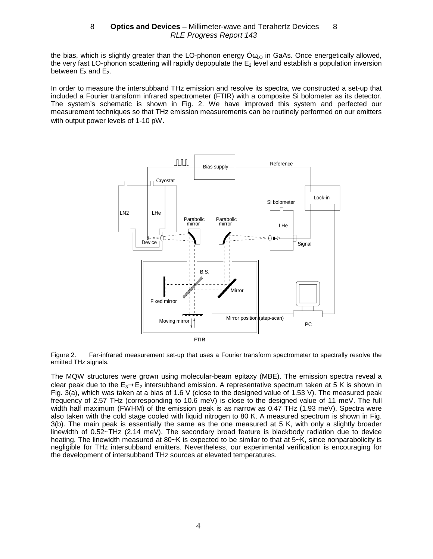the bias, which is slightly greater than the LO-phonon energy  $\dot{\mathcal{O}}_{\omega_{\Omega}}$  in GaAs. Once energetically allowed, the very fast LO-phonon scattering will rapidly depopulate the E<sub>2</sub> level and establish a population inversion between  $E_3$  and  $E_2$ .

In order to measure the intersubband THz emission and resolve its spectra, we constructed a set-up that included a Fourier transform infrared spectrometer (FTIR) with a composite Si bolometer as its detector. The system's schematic is shown in Fig. 2. We have improved this system and perfected our measurement techniques so that THz emission measurements can be routinely performed on our emitters with output power levels of 1-10 pW.



Figure 2. Far-infrared measurement set-up that uses a Fourier transform spectrometer to spectrally resolve the emitted THz signals.

The MQW structures were grown using molecular-beam epitaxy (MBE). The emission spectra reveal a clear peak due to the  $E_3 \rightarrow E_2$  intersubband emission. A representative spectrum taken at 5 K is shown in Fig. 3(a), which was taken at a bias of 1.6 V (close to the designed value of 1.53 V). The measured peak frequency of 2.57 THz (corresponding to 10.6 meV) is close to the designed value of 11 meV. The full width half maximum (FWHM) of the emission peak is as narrow as 0.47 THz (1.93 meV). Spectra were also taken with the cold stage cooled with liquid nitrogen to 80 K. A measured spectrum is shown in Fig. 3(b). The main peak is essentially the same as the one measured at 5 K, with only a slightly broader linewidth of 0.52~THz (2.14 meV). The secondary broad feature is blackbody radiation due to device heating. The linewidth measured at 80~K is expected to be similar to that at 5~K, since nonparabolicity is negligible for THz intersubband emitters. Nevertheless, our experimental verification is encouraging for the development of intersubband THz sources at elevated temperatures.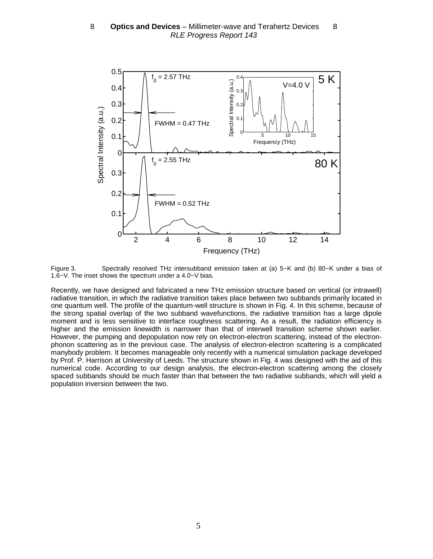

Figure 3. Spectrally resolved THz intersubband emission taken at (a) 5~K and (b) 80~K under a bias of 1.6~V. The inset shows the spectrum under a 4.0~V bias.

Recently, we have designed and fabricated a new THz emission structure based on vertical (or intrawell) radiative transition, in which the radiative transition takes place between two subbands primarily located in one quantum well. The profile of the quantum-well structure is shown in Fig. 4. In this scheme, because of the strong spatial overlap of the two subband wavefunctions, the radiative transition has a large dipole moment and is less sensitive to interface roughness scattering. As a result, the radiation efficiency is higher and the emission linewidth is narrower than that of interwell transition scheme shown earlier. However, the pumping and depopulation now rely on electron-electron scattering, instead of the electronphonon scattering as in the previous case. The analysis of electron-electron scattering is a complicated manybody problem. It becomes manageable only recently with a numerical simulation package developed by Prof. P. Harrison at University of Leeds. The structure shown in Fig. 4 was designed with the aid of this numerical code. According to our design analysis, the electron-electron scattering among the closely spaced subbands should be much faster than that between the two radiative subbands, which will yield a population inversion between the two.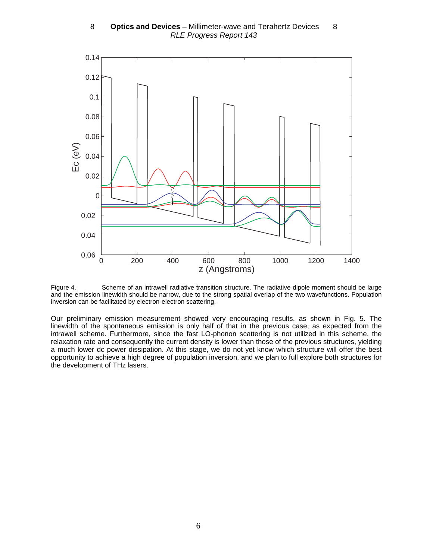8 **- Optics and Devices** – Millimeter-wave and Terahertz Devices - 8 RLE Progress Report 143



Figure 4. Scheme of an intrawell radiative transition structure. The radiative dipole moment should be large and the emission linewidth should be narrow, due to the strong spatial overlap of the two wavefunctions. Population inversion can be facilitated by electron-electron scattering.

Our preliminary emission measurement showed very encouraging results, as shown in Fig. 5. The linewidth of the spontaneous emission is only half of that in the previous case, as expected from the intrawell scheme. Furthermore, since the fast LO-phonon scattering is not utilized in this scheme, the relaxation rate and consequently the current density is lower than those of the previous structures, yielding a much lower dc power dissipation. At this stage, we do not yet know which structure will offer the best opportunity to achieve a high degree of population inversion, and we plan to full explore both structures for the development of THz lasers.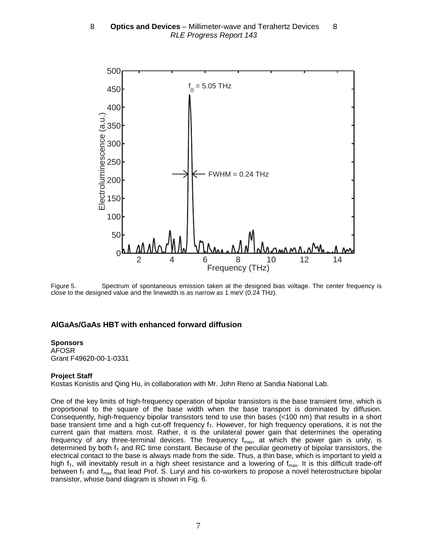

Figure 5. Spectrum of spontaneous emission taken at the designed bias voltage. The center frequency is close to the designed value and the linewidth is as narrow as 1 meV (0.24 THz).

# **AlGaAs/GaAs HBT with enhanced forward diffusion**

### **Sponsors**

AFOSR Grant F49620-00-1-0331

### **Project Staff**

Kostas Konistis and Qing Hu, in collaboration with Mr. John Reno at Sandia National Lab.

One of the key limits of high-frequency operation of bipolar transistors is the base transient time, which is proportional to the square of the base width when the base transport is dominated by diffusion. Consequently, high-frequency bipolar transistors tend to use thin bases (<100 nm) that results in a short base transient time and a high cut-off frequency  $f<sub>T</sub>$ . However, for high frequency operations, it is not the current gain that matters most. Rather, it is the unilateral power gain that determines the operating frequency of any three-terminal devices. The frequency  $f_{max}$ , at which the power gain is unity, is determined by both  $f<sub>T</sub>$  and RC time constant. Because of the peculiar geometry of bipolar transistors, the electrical contact to the base is always made from the side. Thus, a thin base, which is important to yield a high  $f_T$ , will inevitably result in a high sheet resistance and a lowering of  $f_{\text{max}}$ . It is this difficult trade-off between  $f<sub>T</sub>$  and  $f<sub>max</sub>$  that lead Prof. S. Luryi and his co-workers to propose a novel heterostructure bipolar transistor, whose band diagram is shown in Fig. 6.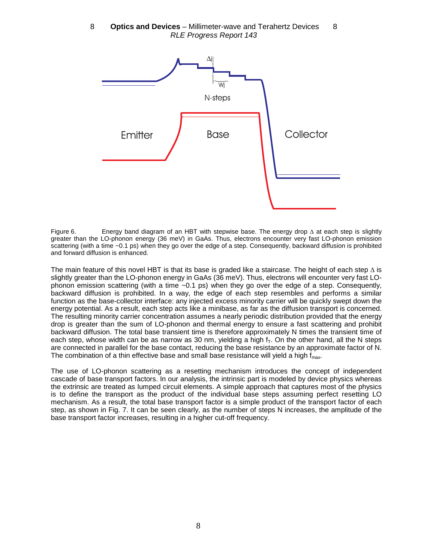8 **— Optics and Devices** – Millimeter-wave and Terahertz Devices — 8 RLE Progress Report 143



Figure 6. Energy band diagram of an HBT with stepwise base. The energy drop ∆ at each step is slightly greater than the LO-phonon energy (36 meV) in GaAs. Thus, electrons encounter very fast LO-phonon emission scattering (with a time ~0.1 ps) when they go over the edge of a step. Consequently, backward diffusion is prohibited and forward diffusion is enhanced.

The main feature of this novel HBT is that its base is graded like a staircase. The height of each step  $\Delta$  is slightly greater than the LO-phonon energy in GaAs (36 meV). Thus, electrons will encounter very fast LOphonon emission scattering (with a time ~0.1 ps) when they go over the edge of a step. Consequently, backward diffusion is prohibited. In a way, the edge of each step resembles and performs a similar function as the base-collector interface: any injected excess minority carrier will be quickly swept down the energy potential. As a result, each step acts like a minibase, as far as the diffusion transport is concerned. The resulting minority carrier concentration assumes a nearly periodic distribution provided that the energy drop is greater than the sum of LO-phonon and thermal energy to ensure a fast scattering and prohibit backward diffusion. The total base transient time is therefore approximately N times the transient time of each step, whose width can be as narrow as 30 nm, yielding a high  $f<sub>T</sub>$ . On the other hand, all the N steps are connected in parallel for the base contact, reducing the base resistance by an approximate factor of N. The combination of a thin effective base and small base resistance will yield a high  $f_{max}$ .

The use of LO-phonon scattering as a resetting mechanism introduces the concept of independent cascade of base transport factors. In our analysis, the intrinsic part is modeled by device physics whereas the extrinsic are treated as lumped circuit elements. A simple approach that captures most of the physics is to define the transport as the product of the individual base steps assuming perfect resetting LO mechanism. As a result, the total base transport factor is a simple product of the transport factor of each step, as shown in Fig. 7. It can be seen clearly, as the number of steps N increases, the amplitude of the base transport factor increases, resulting in a higher cut-off frequency.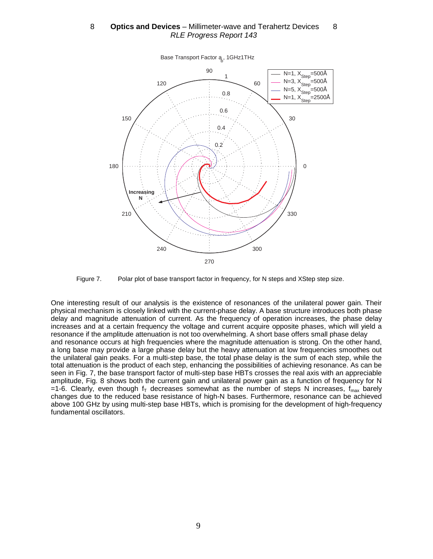

Figure 7. Polar plot of base transport factor in frequency, for N steps and XStep step size.

One interesting result of our analysis is the existence of resonances of the unilateral power gain. Their physical mechanism is closely linked with the current-phase delay. A base structure introduces both phase delay and magnitude attenuation of current. As the frequency of operation increases, the phase delay increases and at a certain frequency the voltage and current acquire opposite phases, which will yield a resonance if the amplitude attenuation is not too overwhelming. A short base offers small phase delay and resonance occurs at high frequencies where the magnitude attenuation is strong. On the other hand, a long base may provide a large phase delay but the heavy attenuation at low frequencies smoothes out the unilateral gain peaks. For a multi-step base, the total phase delay is the sum of each step, while the total attenuation is the product of each step, enhancing the possibilities of achieving resonance. As can be seen in Fig. 7, the base transport factor of multi-step base HBTs crosses the real axis with an appreciable amplitude, Fig. 8 shows both the current gain and unilateral power gain as a function of frequency for N =1-6. Clearly, even though  $f<sub>T</sub>$  decreases somewhat as the number of steps N increases,  $f<sub>max</sub>$  barely changes due to the reduced base resistance of high-N bases. Furthermore, resonance can be achieved above 100 GHz by using multi-step base HBTs, which is promising for the development of high-frequency fundamental oscillators.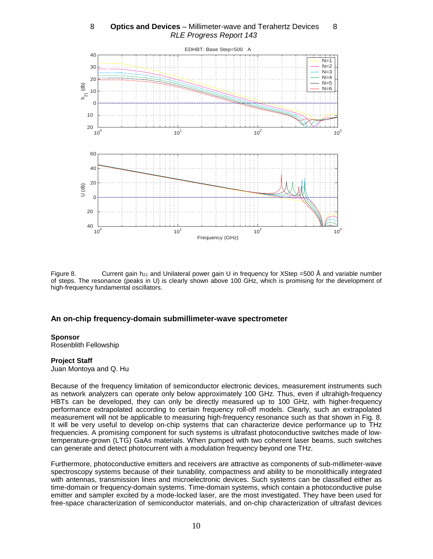

8 **- Optics and Devices** – Millimeter-wave and Terahertz Devices - 8 RLE Progress Report 143

Figure 8. Current gain  $h_{21}$  and Unilateral power gain U in frequency for XStep =500 Å and variable number of steps. The resonance (peaks in U) is clearly shown above 100 GHz, which is promising for the development of high-frequency fundamental oscillators.

## **An on-chip frequency-domain submillimeter-wave spectrometer**

#### **Sponsor**

Rosenblith Fellowship

#### **Project Staff**

Juan Montoya and Q. Hu

Because of the frequency limitation of semiconductor electronic devices, measurement instruments such as network analyzers can operate only below approximately 100 GHz. Thus, even if ultrahigh-frequency HBTs can be developed, they can only be directly measured up to 100 GHz, with higher-frequency performance extrapolated according to certain frequency roll-off models. Clearly, such an extrapolated measurement will not be applicable to measuring high-frequency resonance such as that shown in Fig. 8. It will be very useful to develop on-chip systems that can characterize device performance up to THz frequencies. A promising component for such systems is ultrafast photoconductive switches made of lowtemperature-grown (LTG) GaAs materials. When pumped with two coherent laser beams, such switches can generate and detect photocurrent with a modulation frequency beyond one THz.

Furthermore, photoconductive emitters and receivers are attractive as components of sub-millimeter-wave spectroscopy systems because of their tunability, compactness and ability to be monolithically integrated with antennas, transmission lines and microelectronic devices. Such systems can be classified either as time-domain or frequency-domain systems. Time-domain systems, which contain a photoconductive pulse emitter and sampler excited by a mode-locked laser, are the most investigated. They have been used for free-space characterization of semiconductor materials, and on-chip characterization of ultrafast devices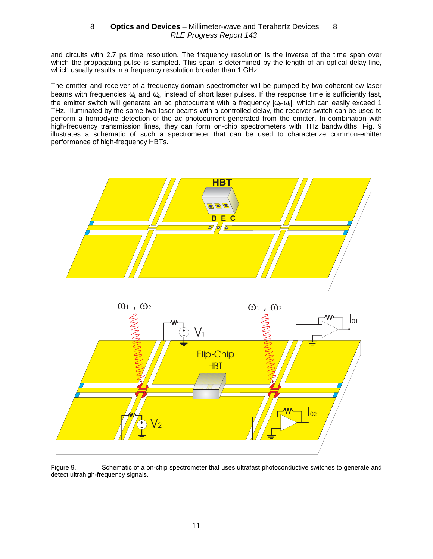and circuits with 2.7 ps time resolution. The frequency resolution is the inverse of the time span over which the propagating pulse is sampled. This span is determined by the length of an optical delay line, which usually results in a frequency resolution broader than 1 GHz.

The emitter and receiver of a frequency-domain spectrometer will be pumped by two coherent cw laser beams with frequencies  $\omega_1$  and  $\omega_2$ , instead of short laser pulses. If the response time is sufficiently fast, the emitter switch will generate an ac photocurrent with a frequency  $|\omega_2-\omega_1|$ , which can easily exceed 1 THz. Illuminated by the same two laser beams with a controlled delay, the receiver switch can be used to perform a homodyne detection of the ac photocurrent generated from the emitter. In combination with high-frequency transmission lines, they can form on-chip spectrometers with THz bandwidths. Fig. 9 illustrates a schematic of such a spectrometer that can be used to characterize common-emitter performance of high-frequency HBTs.





Figure 9. Schematic of a on-chip spectrometer that uses ultrafast photoconductive switches to generate and detect ultrahigh-frequency signals.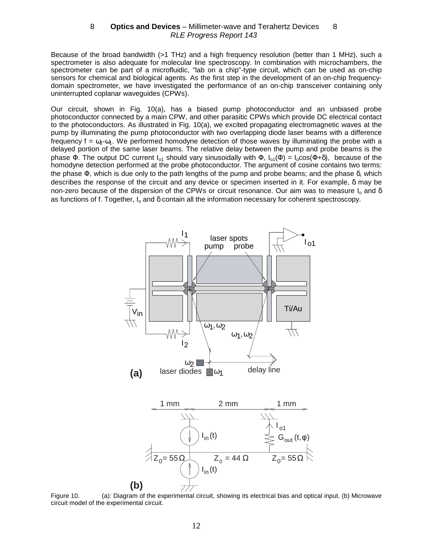Because of the broad bandwidth (>1 THz) and a high frequency resolution (better than 1 MHz), such a spectrometer is also adequate for molecular line spectroscopy. In combination with microchambers, the spectrometer can be part of a microfluidic, "lab on a chip"-type circuit, which can be used as on-chip sensors for chemical and biological agents. As the first step in the development of an on-chip frequencydomain spectrometer, we have investigated the performance of an on-chip transceiver containing only uninterrupted coplanar waveguides (CPWs).

Our circuit, shown in Fig. 10(a), has a biased pump photoconductor and an unbiased probe photoconductor connected by a main CPW, and other parasitic CPWs which provide DC electrical contact to the photoconductors. As illustrated in Fig. 10(a), we excited propagating electromagnetic waves at the pump by illuminating the pump photoconductor with two overlapping diode laser beams with a difference frequency  $f = \omega_2 - \omega_1$ . We performed homodyne detection of those waves by illuminating the probe with a delayed portion of the same laser beams. The relative delay between the pump and probe beams is the phase Φ. The output DC current  $I_{01}$  should vary sinusoidally with  $\Phi$ ,  $I_{01}(\Phi) = I_0 \cos(\Phi + \delta)$ , because of the homodyne detection performed at the probe photoconductor. The argument of cosine contains two terms: the phase Φ, which is due only to the path lengths of the pump and probe beams; and the phase δ, which describes the response of the circuit and any device or specimen inserted in it. For example, δ may be non-zero because of the dispersion of the CPWs or circuit resonance. Our aim was to measure  $I_0$  and  $\delta$ as functions of f. Together, I<sub>o</sub> and δ contain all the information necessary for coherent spectroscopy.



Figure 10. (a): Diagram of the experimental circuit, showing its electrical bias and optical input. (b) Microwave circuit model of the experimental circuit.